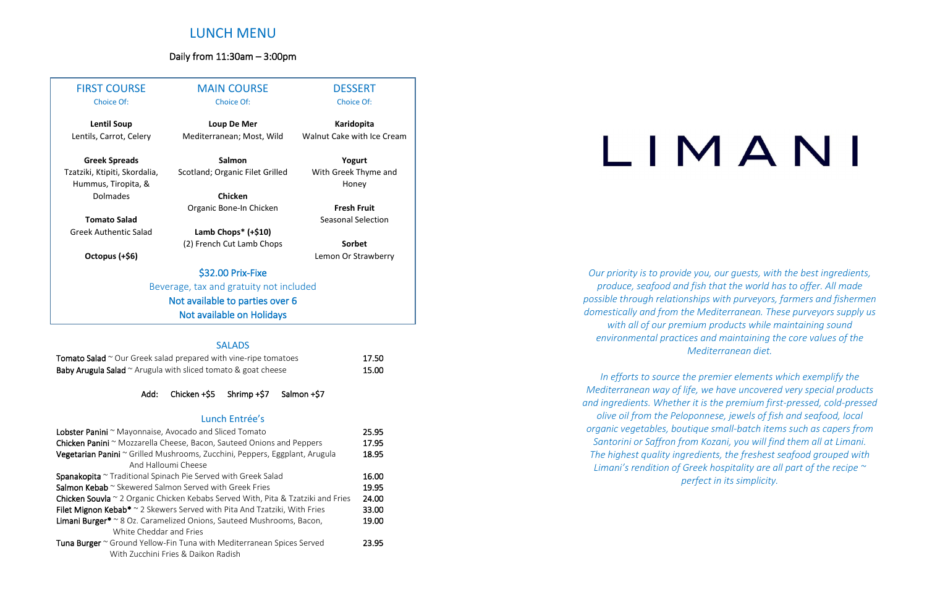# LUNCH MENU

### Daily from 11:30am – 3:00pm

*Our priority is to provide you, our guests, with the best ingredients, produce, seafood and fish that the world has to offer. All made possible through relationships with purveyors, farmers and fishermen domestically and from the Mediterranean. These purveyors supply us with all of our premium products while maintaining sound environmental practices and maintaining the core values of the Mediterranean diet.*

*In efforts to source the premier elements which exemplify the Mediterranean way of life, we have uncovered very special products and ingredients. Whether it is the premium first-pressed, cold-pressed olive oil from the Peloponnese, jewels of fish and seafood, local organic vegetables, boutique small-batch items such as capers from Santorini or Saffron from Kozani, you will find them all at Limani. The highest quality ingredients, the freshest seafood grouped with Limani's rendition of Greek hospitality are all part of the recipe ~ perfect in its simplicity.*

# LIMANI

| <b>FIRST COURSE</b>                                  | <b>MAIN COURSE</b>              | <b>DESSERT</b>                |  |  |  |  |
|------------------------------------------------------|---------------------------------|-------------------------------|--|--|--|--|
| <b>Choice Of:</b>                                    | <b>Choice Of:</b>               | <b>Choice Of:</b>             |  |  |  |  |
| <b>Lentil Soup</b>                                   | Loup De Mer                     | Karidopita                    |  |  |  |  |
| Lentils, Carrot, Celery                              | Mediterranean; Most, Wild       | Walnut Cake with Ice Cream    |  |  |  |  |
| <b>Greek Spreads</b>                                 | Salmon                          | Yogurt                        |  |  |  |  |
| Tzatziki, Ktipiti, Skordalia,<br>Hummus, Tiropita, & | Scotland; Organic Filet Grilled | With Greek Thyme and<br>Honey |  |  |  |  |
| Dolmades                                             | Chicken                         |                               |  |  |  |  |
|                                                      | Organic Bone-In Chicken         | <b>Fresh Fruit</b>            |  |  |  |  |
| <b>Tomato Salad</b>                                  |                                 | Seasonal Selection            |  |  |  |  |
| <b>Greek Authentic Salad</b>                         | Lamb Chops* (+\$10)             |                               |  |  |  |  |
|                                                      | (2) French Cut Lamb Chops       | Sorbet                        |  |  |  |  |
| Octopus (+\$6)                                       |                                 | Lemon Or Strawberry           |  |  |  |  |
|                                                      | \$32.00 Prix-Fixe               |                               |  |  |  |  |
| Beverage, tax and gratuity not included              |                                 |                               |  |  |  |  |
| Not available to parties over 6                      |                                 |                               |  |  |  |  |
|                                                      | Not available on Holidays       |                               |  |  |  |  |
|                                                      |                                 |                               |  |  |  |  |

### SALADS

| <b>Tomato Salad</b> $\sim$ Our Greek salad prepared with vine-ripe tomatoes | 17.50 |
|-----------------------------------------------------------------------------|-------|
| <b>Baby Arugula Salad</b> $\sim$ Arugula with sliced tomato & goat cheese   | 15.00 |

Add: Chicken +\$5 Shrimp +\$7 Salmon +\$7

### Lunch Entrée's

| Lobster Panini ~ Mayonnaise, Avocado and Sliced Tomato                                     |       |  |  |
|--------------------------------------------------------------------------------------------|-------|--|--|
| Chicken Panini ~ Mozzarella Cheese, Bacon, Sauteed Onions and Peppers                      |       |  |  |
| Vegetarian Panini ~ Grilled Mushrooms, Zucchini, Peppers, Eggplant, Arugula                | 18.95 |  |  |
| And Halloumi Cheese                                                                        |       |  |  |
| <b>Spanakopita</b> $\sim$ Traditional Spinach Pie Served with Greek Salad                  | 16.00 |  |  |
| Salmon Kebab ~ Skewered Salmon Served with Greek Fries                                     | 19.95 |  |  |
| Chicken Souvla ~ 2 Organic Chicken Kebabs Served With, Pita & Tzatziki and Fries           |       |  |  |
| Filet Mignon Kebab <sup>*</sup> $\sim$ 2 Skewers Served with Pita And Tzatziki, With Fries | 33.00 |  |  |
| Limani Burger* ~ 8 Oz. Caramelized Onions, Sauteed Mushrooms, Bacon,                       | 19.00 |  |  |
| White Cheddar and Fries                                                                    |       |  |  |
| Tuna Burger ~ Ground Yellow-Fin Tuna with Mediterranean Spices Served                      | 23.95 |  |  |
| With Zucchini Fries & Daikon Radish                                                        |       |  |  |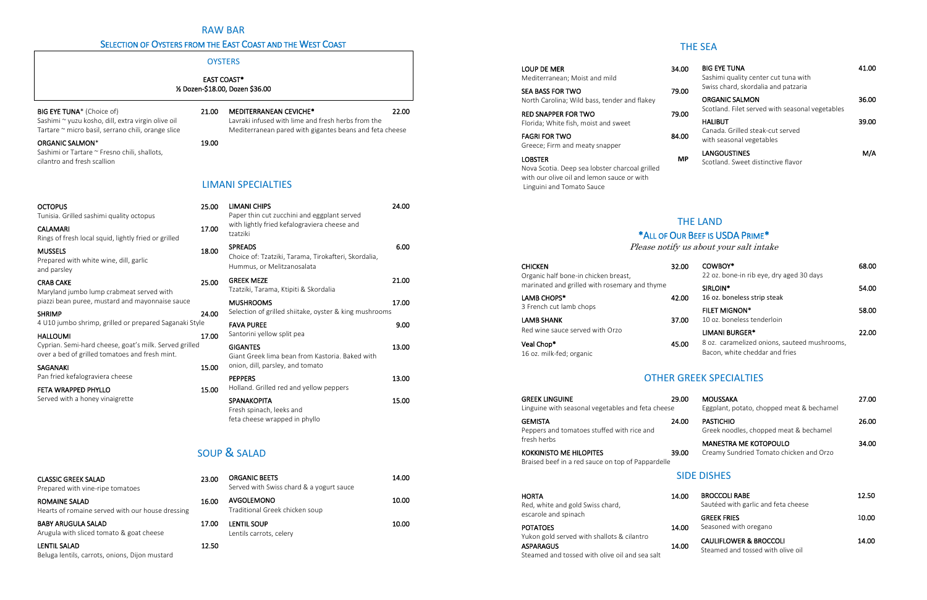| OΟ<br>00 | <b>BIG EYE TUNA</b><br>Sashimi quality center cut tuna with<br>Swiss chard, skordalia and patzaria | 41.00 |
|----------|----------------------------------------------------------------------------------------------------|-------|
| 00       | <b>ORGANIC SALMON</b><br>Scotland. Filet served with seasonal vegetables                           | 36.00 |
| 00       | <b>HALIBUT</b><br>Canada. Grilled steak-cut served<br>with seasonal vegetables                     | 39.00 |
| ΛP       | LANGOUSTINES<br>Scotland. Sweet distinctive flavor                                                 | M/A   |

feta cheese wrapped in phyllo

| 23.00 | <b>ORGANIC BEETS</b><br>Served with Swiss chard & a yogurt sauce | 14.00 |
|-------|------------------------------------------------------------------|-------|
| 16.00 | AVGOLEMONO<br>Traditional Greek chicken soup                     | 10.00 |
| 17.00 | <b>LENTIL SOUP</b><br>Lentils carrots, celery                    | 10.00 |
| 12.50 |                                                                  |       |

### RAW BAR

### SELECTION OF OYSTERS FROM THE EAST COAST AND THE WEST COAST

| <b>CHICKEN</b><br>Organic half bone-in chicken breast, | 32.00 | COWBOY*<br>22 oz. bone-in rib eye, dry aged 30 days | 68.00 |
|--------------------------------------------------------|-------|-----------------------------------------------------|-------|
| marinated and grilled with rosemary and thyme          |       | SIRLOIN <sup>*</sup>                                | 54.00 |
| LAMB CHOPS*                                            | 42.00 | 16 oz. boneless strip steak                         |       |
| 3 French cut lamb chops                                |       | <b>FILET MIGNON*</b>                                | 58.00 |
| <b>LAMB SHANK</b>                                      | 37.00 | 10 oz. boneless tenderloin                          |       |
| Red wine sauce served with Orzo                        |       | <b>LIMANI BURGER*</b>                               | 22.00 |
| Veal Chop*                                             | 45.00 | 8 oz. caramelized onions, sauteed mushrooms,        |       |
| 16 oz. milk-fed: organic                               |       | Bacon, white cheddar and fries                      |       |

| <b>HORTA</b><br>Red, white and gold Swiss chard,                                                                 | 14.00 | <b>BROCCOLI RABE</b><br>Sautéed with garlic and feta cheese            | 12.50 |
|------------------------------------------------------------------------------------------------------------------|-------|------------------------------------------------------------------------|-------|
| escarole and spinach<br><b>POTATOES</b>                                                                          | 14.00 | <b>GREEK FRIES</b><br>Seasoned with oregano                            | 10.00 |
| Yukon gold served with shallots & cilantro<br><b>ASPARAGUS</b><br>Steamed and tossed with olive oil and sea salt | 14.00 | <b>CAULIFLOWER &amp; BROCCOLI</b><br>Steamed and tossed with olive oil | 14.00 |

|                                                                                                                                       |       | <b>OYSTERS</b>                                                                                                                                 |       |
|---------------------------------------------------------------------------------------------------------------------------------------|-------|------------------------------------------------------------------------------------------------------------------------------------------------|-------|
|                                                                                                                                       |       | <b>EAST COAST*</b><br>1/2 Dozen-\$18.00, Dozen \$36.00                                                                                         |       |
| BIG EYE TUNA* (Choice of)<br>Sashimi ~ yuzu kosho, dill, extra virgin olive oil<br>Tartare ~ micro basil, serrano chili, orange slice | 21.00 | <b>MEDITERRANEAN CEVICHE*</b><br>Lavraki infused with lime and fresh herbs from the<br>Mediterranean pared with gigantes beans and feta cheese | 22.00 |
| ORGANIC SALMON*<br>Sashimi or Tartare ~ Fresno chili, shallots,<br>cilantro and fresh scallion                                        | 19.00 |                                                                                                                                                |       |
|                                                                                                                                       |       | <b>LIMANI SPECIALTIES</b>                                                                                                                      |       |
| <b>OCTOPUS</b><br>Tunisia. Grilled sashimi quality octopus                                                                            | 25.00 | <b>LIMANI CHIPS</b><br>Paper thin cut zucchini and eggplant served                                                                             | 24.00 |
| <b>CALAMARI</b><br>Rings of fresh local squid, lightly fried or grilled                                                               | 17.00 | with lightly fried kefalograviera cheese and<br>tzatziki                                                                                       |       |
| <b>MUSSELS</b><br>Prepared with white wine, dill, garlic<br>and parsley                                                               | 18.00 | <b>SPREADS</b><br>Choice of: Tzatziki, Tarama, Tirokafteri, Skordalia,<br>Hummus, or Melitzanosalata                                           | 6.00  |
| <b>CRAB CAKE</b><br>Maryland jumbo lump crabmeat served with                                                                          | 25.00 | <b>GREEK MEZE</b><br>Tzatziki, Tarama, Ktipiti & Skordalia                                                                                     | 21.00 |
| piazzi bean puree, mustard and mayonnaise sauce<br><b>SHRIMP</b>                                                                      | 24.00 | <b>MUSHROOMS</b><br>Selection of grilled shiitake, oyster & king mushrooms                                                                     | 17.00 |
| 4 U10 jumbo shrimp, grilled or prepared Saganaki Style                                                                                |       | <b>FAVA PUREE</b>                                                                                                                              | 9.00  |
| <b>HALLOUMI</b><br>Cyprian. Semi-hard cheese, goat's milk. Served grilled<br>over a bed of grilled tomatoes and fresh mint.           | 17.00 | Santorini yellow split pea<br><b>GIGANTES</b><br>Giant Greek lima bean from Kastoria. Baked with                                               | 13.00 |
| <b>SAGANAKI</b>                                                                                                                       | 15.00 | onion, dill, parsley, and tomato                                                                                                               |       |
| Pan fried kefalograviera cheese                                                                                                       |       | <b>PEPPERS</b><br>Holland. Grilled red and yellow peppers                                                                                      | 13.00 |
| FETA WRAPPED PHYLLO<br>Served with a honey vinaigrette                                                                                | 15.00 | <b>SPANAKOPITA</b><br>Fresh spinach, leeks and                                                                                                 | 15.00 |

# SOUP & SALAD

| <b>GREEK LINGUINE</b>                                                               | 29.00 | <b>MOUSSAKA</b>                                            | 27.00 |
|-------------------------------------------------------------------------------------|-------|------------------------------------------------------------|-------|
| Linguine with seasonal vegetables and feta cheese                                   |       | Eggplant, potato, chopped meat & bechamel                  |       |
| <b>GEMISTA</b><br>Peppers and tomatoes stuffed with rice and                        | 24.00 | <b>PASTICHIO</b><br>Greek noodles, chopped meat & bechamel | 26.00 |
| fresh herbs                                                                         |       | <b>MANESTRA ME KOTOPOULO</b>                               | 34.00 |
| <b>KOKKINISTO ME HILOPITES</b><br>Braised beef in a red sauce on top of Pappardelle | 39.00 | Creamy Sundried Tomato chicken and Orzo                    |       |

Prepared with vine-ripe tomatoes

Hearts of romaine served with our house dressing

**CLASSIC GREEK SALAD** 

BABY ARUGULA SALAD

ROMAINE SALAD

LENTIL SALAD

Arugula with sliced tomato & goat cheese

Beluga lentils, carrots, onions, Dijon mustard

### THE SEA

| LOUP DE MER<br>Mediterranean; Moist and mild                       | 34.0 |
|--------------------------------------------------------------------|------|
| SEA BASS FOR TWO<br>North Carolina; Wild bass, tender and flakey   | 79.C |
| <b>RED SNAPPER FOR TWO</b><br>Florida: White fish, moist and sweet | 79.C |
| <b>FAGRI FOR TWO</b><br>Greece; Firm and meaty snapper             | 84.0 |
| LOBSTER                                                            |      |

Nova Scotia. Deep sea lobster charcoal grilled with our olive oil and lemon sauce or with Linguini and Tomato Sauce

### THE LAND

### \*ALL OF OUR BEEF IS USDA PRIME\*

Please notify us about your salt intake

16 oz. milk-fed; organic

### OTHER GREEK SPECIALTIES

### SIDE DISHES